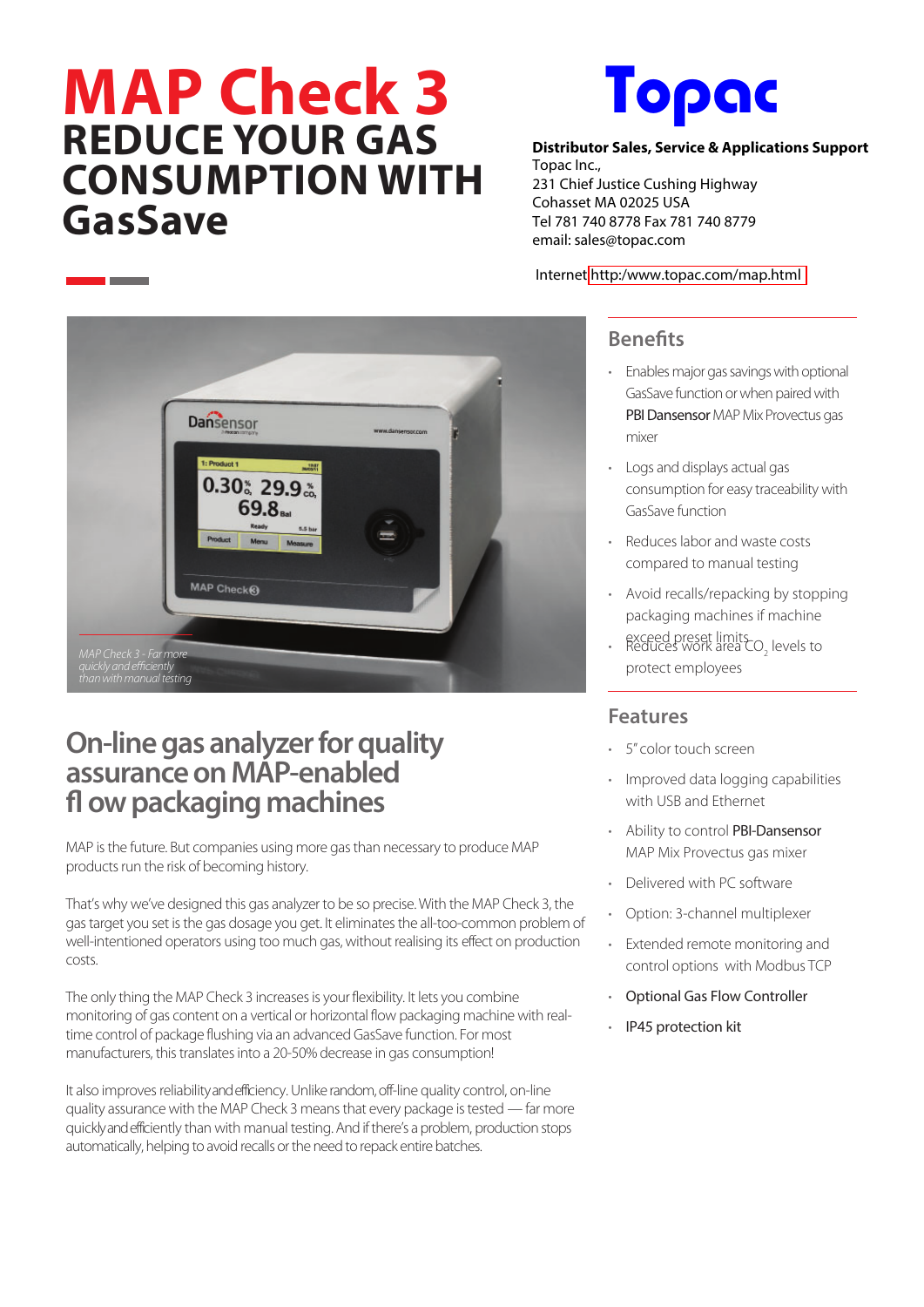# **MAP Check 3 REDUCE YOUR GAS CONSUMPTION WITH GasSave**

**State State** 



**Distributor Sales, Service & Applications Support** Topac Inc., 231 Chief Justice Cushing Highway Cohasset MA 02025 USA Tel 781 740 8778 Fax 781 740 8779 [email: sales@topac.com](www.topac.com/map.html)

#### Internet [http:/www.topac.com/map.html](www.topac.com/map.html)



## **On-line gas analyzer for quality assurance on MAP-enabled fl ow packaging machines**

MAP is the future. But companies using more gas than necessary to produce MAP products run the risk of becoming history.

That's why we've designed this gas analyzer to be so precise. With the MAP Check 3, the gas target you set is the gas dosage you get. It eliminates the all-too-common problem of well-intentioned operators using too much gas, without realising its effect on production costs.

The only thing the MAP Check 3 increases is your flexibility. It lets you combine monitoring of gas content on a vertical or horizontal flow packaging machine with realtime control of package flushing via an advanced GasSave function. For most manufacturers, this translates into a 20-50% decrease in gas consumption!

It also improves reliability and efficiency. Unlike random, off-line quality control, on-line quality assurance with the MAP Check 3 means that every package is tested — far more quickly and efficiently than with manual testing.And if there's a problem, production stops automatically, helping to avoid recalls or the need to repack entire batches.

#### **Benefits**

- Enables major gas savings with optional GasSave function or when paired with PBI Dansensor MAP Mix Provectus gas mixer
- Logs and displays actual gas consumption for easy traceability with GasSave function
- Reduces labor and waste costs compared to manual testing
- Avoid recalls/repacking by stopping packaging machines if machine
- exceed preset limits<br>• Reduces work area CO<sub>2</sub> levels to protect employees

#### **Features**

- 5" color touch screen
- Improved data logging capabilities with USB and Ethernet
- Ability to control PBI-Dansensor MAP Mix Provectus gas mixer
- Delivered with PC software
- Option: 3-channel multiplexer
- Extended remote monitoring and control options with Modbus TCP
- Optional Gas Flow Controller
- IP45 protection kit